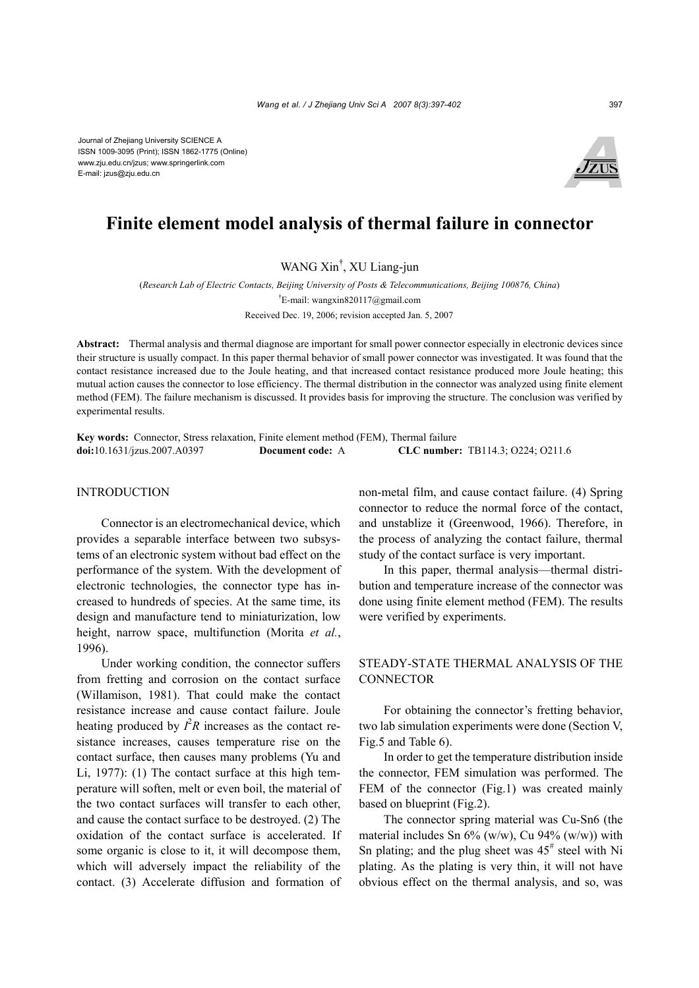Journal of Zhejiang University SCIENCE A ISSN 1009-3095 (Print); ISSN 1862-1775 (Online) www.zju.edu.cn/jzus; www.springerlink.com E-mail: jzus@zju.edu.cn



# **Finite element model analysis of thermal failure in connector**

WANG Xin† , XU Liang-jun

(*Research Lab of Electric Contacts, Beijing University of Posts & Telecommunications, Beijing 100876, China*) † E-mail: wangxin820117@gmail.com Received Dec. 19, 2006; revision accepted Jan. 5, 2007

**Abstract:** Thermal analysis and thermal diagnose are important for small power connector especially in electronic devices since their structure is usually compact. In this paper thermal behavior of small power connector was investigated. It was found that the contact resistance increased due to the Joule heating, and that increased contact resistance produced more Joule heating; this mutual action causes the connector to lose efficiency. The thermal distribution in the connector was analyzed using finite element method (FEM). The failure mechanism is discussed. It provides basis for improving the structure. The conclusion was verified by experimental results.

**Key words:** Connector, Stress relaxation, Finite element method (FEM), Thermal failure **doi:**10.1631/jzus.2007.A0397 **Document code:** A **CLC number:** TB114.3; O224; O211.6

## INTRODUCTION

Connector is an electromechanical device, which provides a separable interface between two subsystems of an electronic system without bad effect on the performance of the system. With the development of electronic technologies, the connector type has increased to hundreds of species. At the same time, its design and manufacture tend to miniaturization, low height, narrow space, multifunction (Morita *et al.*, 1996).

Under working condition, the connector suffers from fretting and corrosion on the contact surface (Willamison, 1981). That could make the contact resistance increase and cause contact failure. Joule heating produced by  $I^2R$  increases as the contact resistance increases, causes temperature rise on the contact surface, then causes many problems (Yu and Li, 1977): (1) The contact surface at this high temperature will soften, melt or even boil, the material of the two contact surfaces will transfer to each other, and cause the contact surface to be destroyed. (2) The oxidation of the contact surface is accelerated. If some organic is close to it, it will decompose them, which will adversely impact the reliability of the contact. (3) Accelerate diffusion and formation of non-metal film, and cause contact failure. (4) Spring connector to reduce the normal force of the contact, and unstablize it (Greenwood, 1966). Therefore, in the process of analyzing the contact failure, thermal study of the contact surface is very important.

In this paper, thermal analysis—thermal distribution and temperature increase of the connector was done using finite element method (FEM). The results were verified by experiments.

## STEADY-STATE THERMAL ANALYSIS OF THE **CONNECTOR**

For obtaining the connector's fretting behavior, two lab simulation experiments were done (Section V, Fig.5 and Table 6).

In order to get the temperature distribution inside the connector, FEM simulation was performed. The FEM of the connector (Fig.1) was created mainly based on blueprint (Fig.2).

The connector spring material was Cu-Sn6 (the material includes Sn  $6\%$  (w/w), Cu 94% (w/w)) with Sn plating; and the plug sheet was  $45^{\text{#}}$  steel with Ni plating. As the plating is very thin, it will not have obvious effect on the thermal analysis, and so, was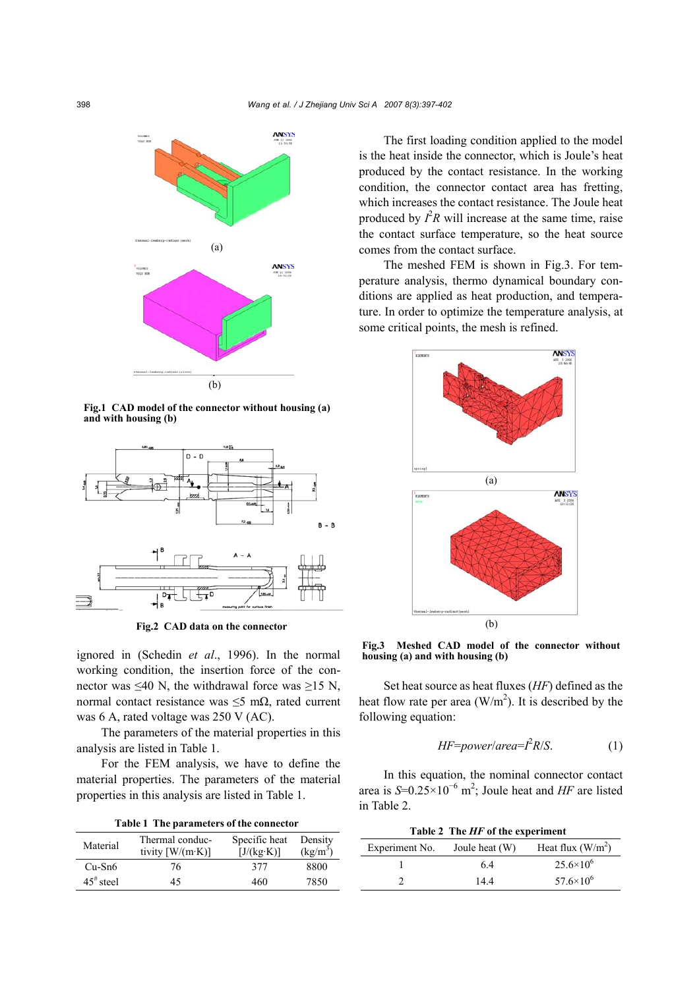

**Fig.1 CAD model of the connector without housing (a) and with housing (b)**



**Fig.2 CAD data on the connector**

ignored in (Schedin *et al*., 1996). In the normal working condition, the insertion force of the connector was  $\leq 40$  N, the withdrawal force was  $\geq 15$  N, normal contact resistance was  $\leq$ 5 mΩ, rated current was 6 A, rated voltage was 250 V (AC).

The parameters of the material properties in this analysis are listed in Table 1.

For the FEM analysis, we have to define the material properties. The parameters of the material properties in this analysis are listed in Table 1.

**Table 1 The parameters of the connector** 

| Material                | Thermal conduc-<br>tivity $\left[W/(m\cdot K)\right]$ | Specific heat<br>[J/(kg·K)] | Density<br>$(kg/m^3)$ |
|-------------------------|-------------------------------------------------------|-----------------------------|-----------------------|
| $Cu-Sn6$                | 76                                                    | 377                         | 8800                  |
| $45^{\texttt{#}}$ steel | 45                                                    | 460                         | 7850                  |

The first loading condition applied to the model is the heat inside the connector, which is Joule's heat produced by the contact resistance. In the working condition, the connector contact area has fretting, which increases the contact resistance. The Joule heat produced by  $I^2 R$  will increase at the same time, raise the contact surface temperature, so the heat source comes from the contact surface.

The meshed FEM is shown in Fig.3. For temperature analysis, thermo dynamical boundary conditions are applied as heat production, and temperature. In order to optimize the temperature analysis, at some critical points, the mesh is refined.



**Fig.3 Meshed CAD model of the connector without housing (a) and with housing (b)**

Set heat source as heat fluxes (*HF*) defined as the heat flow rate per area  $(W/m^2)$ . It is described by the following equation:

$$
HF = power/area = I^2R/S.
$$
 (1)

In this equation, the nominal connector contact area is  $S=0.25\times10^{-6}$  m<sup>2</sup>; Joule heat and *HF* are listed in Table 2.

| Table 2 The HF of the experiment |
|----------------------------------|
|----------------------------------|

| Experiment No. | Joule heat $(W)$ | Heat flux $(W/m2)$   |
|----------------|------------------|----------------------|
|                | 64               | $25.6 \times 10^6$   |
|                | 144              | $57.6 \times 10^{6}$ |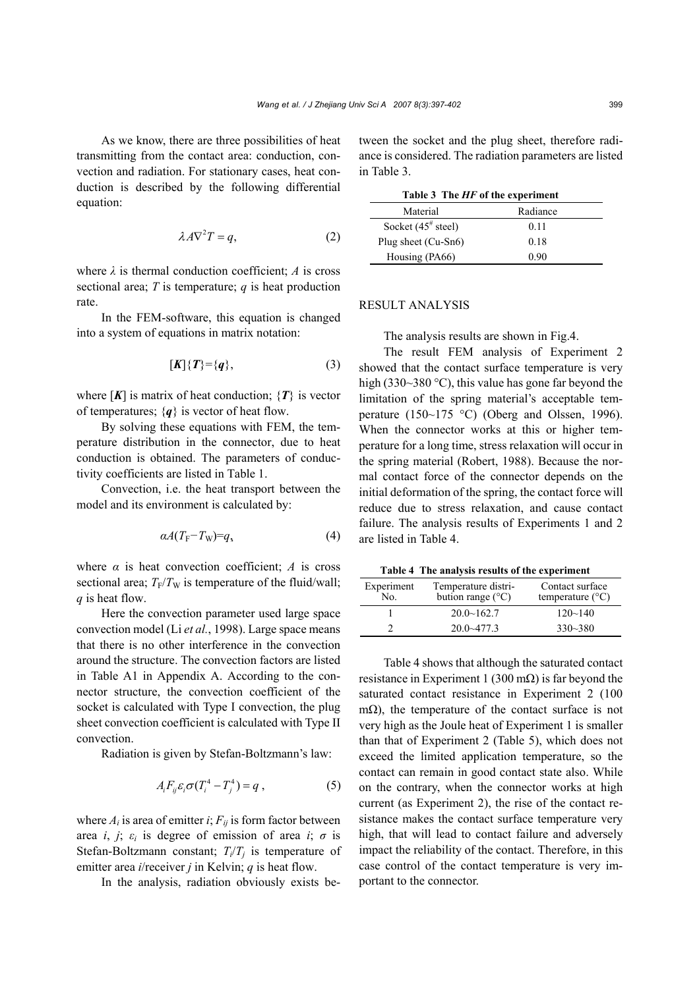As we know, there are three possibilities of heat transmitting from the contact area: conduction, convection and radiation. For stationary cases, heat conduction is described by the following differential equation:

$$
\lambda A \nabla^2 T = q,\tag{2}
$$

where  $\lambda$  is thermal conduction coefficient;  $\Lambda$  is cross sectional area; *T* is temperature; *q* is heat production rate.

In the FEM-software, this equation is changed into a system of equations in matrix notation:

$$
[K]\{T\}=\{q\},\tag{3}
$$

where  $[K]$  is matrix of heat conduction;  $\{T\}$  is vector of temperatures;  $\{q\}$  is vector of heat flow.

By solving these equations with FEM, the temperature distribution in the connector, due to heat conduction is obtained. The parameters of conductivity coefficients are listed in Table 1.

Convection, i.e. the heat transport between the model and its environment is calculated by:

$$
\alpha A(T_{\rm F} - T_{\rm W}) = q, \qquad (4)
$$

where  $\alpha$  is heat convection coefficient;  $\Lambda$  is cross sectional area;  $T_F/T_W$  is temperature of the fluid/wall; *q* is heat flow.

Here the convection parameter used large space convection model (Li *et al.*, 1998). Large space means that there is no other interference in the convection around the structure. The convection factors are listed in Table A1 in Appendix A. According to the connector structure, the convection coefficient of the socket is calculated with Type I convection, the plug sheet convection coefficient is calculated with Type II convection.

Radiation is given by Stefan-Boltzmann's law:

$$
A_i F_{ij} \varepsilon_i \sigma (T_i^4 - T_j^4) = q \t{,} \t(5)
$$

where  $A_i$  is area of emitter *i*;  $F_{ij}$  is form factor between area *i*, *j*;  $\varepsilon_i$  is degree of emission of area *i*;  $\sigma$  is Stefan-Boltzmann constant;  $T_i/T_j$  is temperature of emitter area *i*/receiver *j* in Kelvin; *q* is heat flow.

In the analysis, radiation obviously exists be-

tween the socket and the plug sheet, therefore radiance is considered. The radiation parameters are listed in Table 3.

| Table 3 The HF of the experiment |          |  |  |  |
|----------------------------------|----------|--|--|--|
| Material                         | Radiance |  |  |  |
| Socket $(45^{\#}$ steel)         | 0.11     |  |  |  |
| Plug sheet $(Cu-Sn6)$            | 0.18     |  |  |  |
| Housing (PA66)                   | 0.90     |  |  |  |

#### RESULT ANALYSIS

The analysis results are shown in Fig.4.

The result FEM analysis of Experiment 2 showed that the contact surface temperature is very high (330~380 °C), this value has gone far beyond the limitation of the spring material's acceptable temperature (150~175 °C) (Oberg and Olssen, 1996). When the connector works at this or higher temperature for a long time, stress relaxation will occur in the spring material (Robert, 1988). Because the normal contact force of the connector depends on the initial deformation of the spring, the contact force will reduce due to stress relaxation, and cause contact failure. The analysis results of Experiments 1 and 2 are listed in Table 4.

**Table 4 The analysis results of the experiment** 

| Experiment<br>No. | Temperature distri-<br>bution range $(^{\circ}C)$ | Contact surface<br>temperature $(^{\circ}C)$ |
|-------------------|---------------------------------------------------|----------------------------------------------|
|                   | $20.0 \sim 162.7$                                 | $120 - 140$                                  |
|                   | $20.0 - 477.3$                                    | $330 - 380$                                  |

Table 4 shows that although the saturated contact resistance in Experiment 1 (300 m $\Omega$ ) is far beyond the saturated contact resistance in Experiment 2 (100 mΩ), the temperature of the contact surface is not very high as the Joule heat of Experiment 1 is smaller than that of Experiment 2 (Table 5), which does not exceed the limited application temperature, so the contact can remain in good contact state also. While on the contrary, when the connector works at high current (as Experiment 2), the rise of the contact resistance makes the contact surface temperature very high, that will lead to contact failure and adversely impact the reliability of the contact. Therefore, in this case control of the contact temperature is very important to the connector.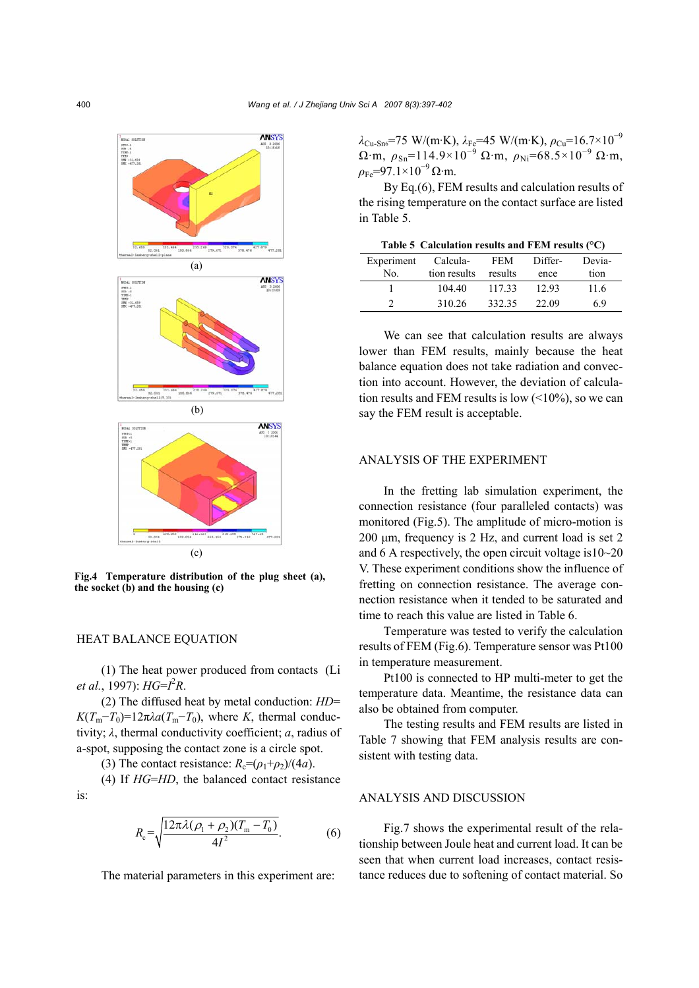

**Fig.4 Temperature distribution of the plug sheet (a), the socket (b) and the housing (c)**

#### HEAT BALANCE EQUATION

(1) The heat power produced from contacts (Li *et al.*, 1997): *HG*=*I* 2 *R*.

(2) The diffused heat by metal conduction: *HD*= *K*(*T*<sub>m</sub>−*T*<sub>0</sub>)=12π*λa*(*T*<sub>m</sub>−*T*<sub>0</sub>), where *K*, thermal conductivity; *λ*, thermal conductivity coefficient; *a*, radius of a-spot, supposing the contact zone is a circle spot.

(3) The contact resistance:  $R_c=(\rho_1+\rho_2)/(4a)$ .

(4) If *HG*=*HD*, the balanced contact resistance is:

$$
R_{\rm c} = \sqrt{\frac{12\pi\lambda(\rho_1 + \rho_2)(T_{\rm m} - T_0)}{4I^2}}.\tag{6}
$$

The material parameters in this experiment are:

 $λ$ <sub>Cu-Sn6</sub>=75 W/(m·K),  $λ$ <sub>Fe</sub>=45 W/(m·K),  $ρ$ <sub>Cu</sub>=16.7×10<sup>-9</sup>  $\Omega$ ·m,  $\rho_{\text{Sn}}$ =114.9×10<sup>-9</sup>  $\Omega$ ·m,  $\rho_{\text{Ni}}$ =68.5×10<sup>-9</sup>  $\Omega$ ·m,  $\rho_{\text{Fe}}$ =97.1×10<sup>-9</sup>Ω·m.

By Eq.(6), FEM results and calculation results of the rising temperature on the contact surface are listed in Table 5.

| Table 5 Calculation results and FEM results $(°C)$ |  |  |  |  |  |  |
|----------------------------------------------------|--|--|--|--|--|--|
|----------------------------------------------------|--|--|--|--|--|--|

| Experiment<br>No. | Calcula-<br>tion results | <b>FEM</b><br>results | Differ-<br>ence | Devia-<br>tion |
|-------------------|--------------------------|-----------------------|-----------------|----------------|
|                   | 104.40                   | 117.33                | 12.93           | 11.6           |
|                   | 310.26                   | 332.35                | 22.09           | 69             |

We can see that calculation results are always lower than FEM results, mainly because the heat balance equation does not take radiation and convection into account. However, the deviation of calculation results and FEM results is low  $(10\%)$ , so we can say the FEM result is acceptable.

## ANALYSIS OF THE EXPERIMENT

In the fretting lab simulation experiment, the connection resistance (four paralleled contacts) was monitored (Fig.5). The amplitude of micro-motion is 200 µm, frequency is 2 Hz, and current load is set 2 and 6 A respectively, the open circuit voltage is10~20 V. These experiment conditions show the influence of fretting on connection resistance. The average connection resistance when it tended to be saturated and time to reach this value are listed in Table 6.

Temperature was tested to verify the calculation results of FEM (Fig.6). Temperature sensor was Pt100 in temperature measurement.

Pt100 is connected to HP multi-meter to get the temperature data. Meantime, the resistance data can also be obtained from computer.

The testing results and FEM results are listed in Table 7 showing that FEM analysis results are consistent with testing data.

#### ANALYSIS AND DISCUSSION

Fig.7 shows the experimental result of the relationship between Joule heat and current load. It can be seen that when current load increases, contact resistance reduces due to softening of contact material. So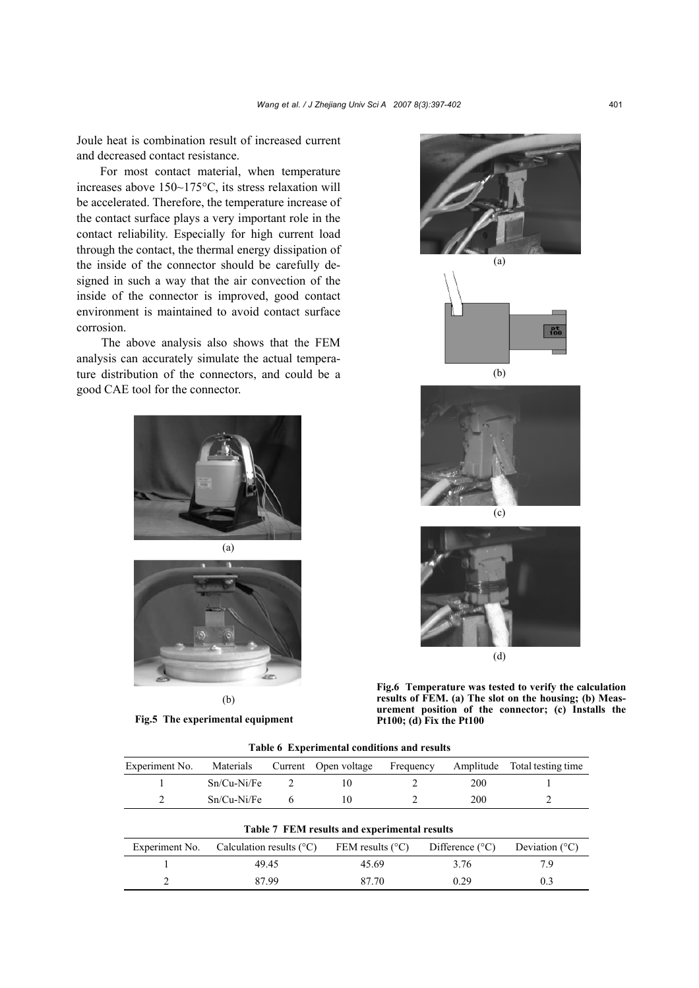Joule heat is combination result of increased current and decreased contact resistance.

For most contact material, when temperature increases above 150~175°C, its stress relaxation will be accelerated. Therefore, the temperature increase of the contact surface plays a very important role in the contact reliability. Especially for high current load through the contact, the thermal energy dissipation of the inside of the connector should be carefully designed in such a way that the air convection of the inside of the connector is improved, good contact environment is maintained to avoid contact surface corrosion.

The above analysis also shows that the FEM analysis can accurately simulate the actual temperature distribution of the connectors, and could be a good CAE tool for the connector.





**Fig.5 The experimental equipment**

(b)





(b)





(d)

**Fig.6 Temperature was tested to verify the calculation results of FEM. (a) The slot on the housing; (b) Measurement position of the connector; (c) Installs the Pt100; (d) Fix the Pt100**

|  | Table 6 Experimental conditions and results |  |  |  |
|--|---------------------------------------------|--|--|--|
|--|---------------------------------------------|--|--|--|

| Experiment No. Materials |             | Current Open voltage Frequency |     | Amplitude Total testing time |
|--------------------------|-------------|--------------------------------|-----|------------------------------|
|                          | Sn/Cu-Ni/Fe |                                | 200 |                              |
|                          | Sn/Cu-Ni/Fe | $\mathbf{10}$                  | 200 |                              |

| Table 7 FEM results and experimental results |                                                                                                           |       |      |                         |  |  |
|----------------------------------------------|-----------------------------------------------------------------------------------------------------------|-------|------|-------------------------|--|--|
|                                              | Experiment No. Calculation results $({}^{\circ}C)$ FEM results $({}^{\circ}C)$ Difference $({}^{\circ}C)$ |       |      | Deviation $(^{\circ}C)$ |  |  |
|                                              | 4945                                                                                                      | 45.69 | 3.76 | 79                      |  |  |
|                                              | 87.99                                                                                                     | 87.70 | 0.29 |                         |  |  |